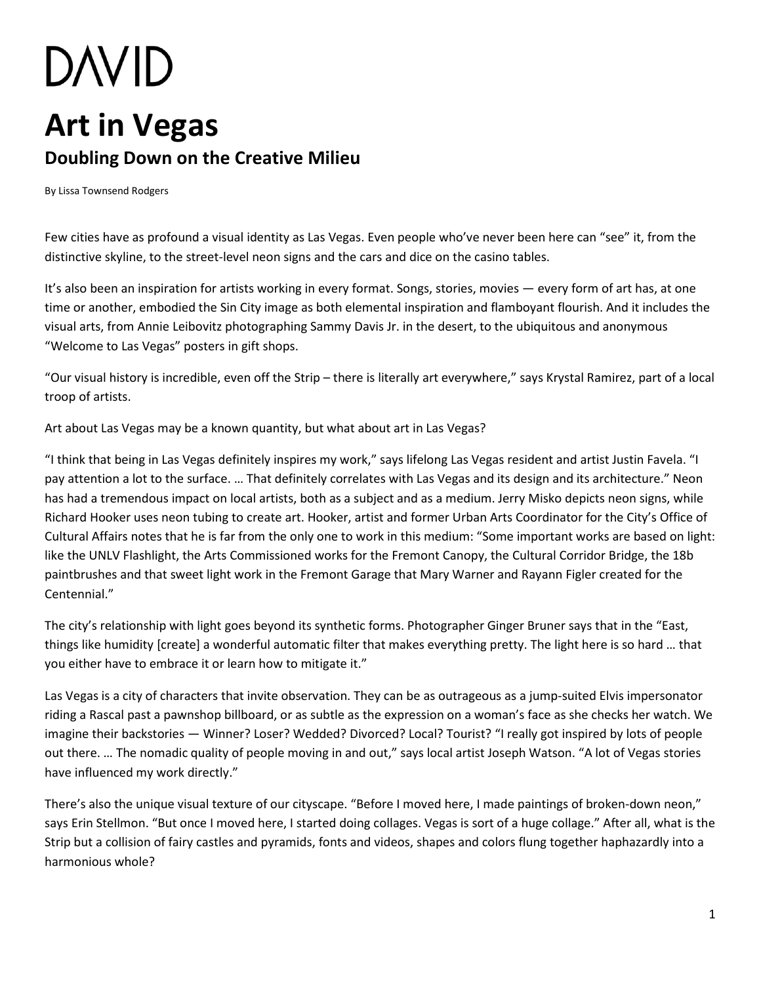## **DAVID Art in Vegas Doubling Down on the Creative Milieu**

By Lissa Townsend Rodgers

Few cities have as profound a visual identity as Las Vegas. Even people who've never been here can "see" it, from the distinctive skyline, to the street-level neon signs and the cars and dice on the casino tables.

It's also been an inspiration for artists working in every format. Songs, stories, movies — every form of art has, at one time or another, embodied the Sin City image as both elemental inspiration and flamboyant flourish. And it includes the visual arts, from Annie Leibovitz photographing Sammy Davis Jr. in the desert, to the ubiquitous and anonymous "Welcome to Las Vegas" posters in gift shops.

"Our visual history is incredible, even off the Strip – there is literally art everywhere," says Krystal Ramirez, part of a local troop of artists.

Art about Las Vegas may be a known quantity, but what about art in Las Vegas?

"I think that being in Las Vegas definitely inspires my work," says lifelong Las Vegas resident and artist Justin Favela. "I pay attention a lot to the surface. ... That definitely correlates with Las Vegas and its design and its architecture." Neon has had a tremendous impact on local artists, both as a subject and as a medium. Jerry Misko depicts neon signs, while Richard Hooker uses neon tubing to create art. Hooker, artist and former Urban Arts Coordinator for the City's Office of Cultural Affairs notes that he is far from the only one to work in this medium: "Some important works are based on light: like the UNLV Flashlight, the Arts Commissioned works for the Fremont Canopy, the Cultural Corridor Bridge, the 18b paintbrushes and that sweet light work in the Fremont Garage that Mary Warner and Rayann Figler created for the Centennial."

The city's relationship with light goes beyond its synthetic forms. Photographer Ginger Bruner says that in the "East, things like humidity [create] a wonderful automatic filter that makes everything pretty. The light here is so hard … that you either have to embrace it or learn how to mitigate it."

Las Vegas is a city of characters that invite observation. They can be as outrageous as a jump-suited Elvis impersonator riding a Rascal past a pawnshop billboard, or as subtle as the expression on a woman's face as she checks her watch. We imagine their backstories — Winner? Loser? Wedded? Divorced? Local? Tourist? "I really got inspired by lots of people out there. … The nomadic quality of people moving in and out," says local artist Joseph Watson. "A lot of Vegas stories have influenced my work directly."

There's also the unique visual texture of our cityscape. "Before I moved here, I made paintings of broken-down neon," says Erin Stellmon. "But once I moved here, I started doing collages. Vegas is sort of a huge collage." After all, what is the Strip but a collision of fairy castles and pyramids, fonts and videos, shapes and colors flung together haphazardly into a harmonious whole?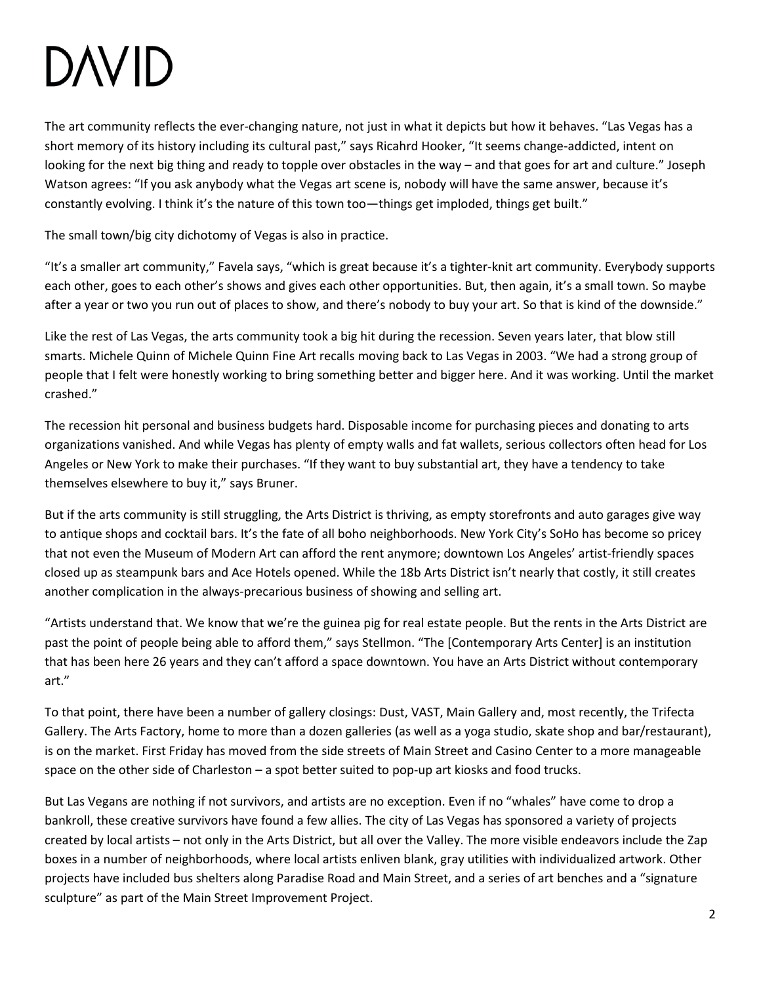## **DAVID**

The art community reflects the ever-changing nature, not just in what it depicts but how it behaves. "Las Vegas has a short memory of its history including its cultural past," says Ricahrd Hooker, "It seems change-addicted, intent on looking for the next big thing and ready to topple over obstacles in the way – and that goes for art and culture." Joseph Watson agrees: "If you ask anybody what the Vegas art scene is, nobody will have the same answer, because it's constantly evolving. I think it's the nature of this town too—things get imploded, things get built."

The small town/big city dichotomy of Vegas is also in practice.

"It's a smaller art community," Favela says, "which is great because it's a tighter-knit art community. Everybody supports each other, goes to each other's shows and gives each other opportunities. But, then again, it's a small town. So maybe after a year or two you run out of places to show, and there's nobody to buy your art. So that is kind of the downside."

Like the rest of Las Vegas, the arts community took a big hit during the recession. Seven years later, that blow still smarts. Michele Quinn of Michele Quinn Fine Art recalls moving back to Las Vegas in 2003. "We had a strong group of people that I felt were honestly working to bring something better and bigger here. And it was working. Until the market crashed."

The recession hit personal and business budgets hard. Disposable income for purchasing pieces and donating to arts organizations vanished. And while Vegas has plenty of empty walls and fat wallets, serious collectors often head for Los Angeles or New York to make their purchases. "If they want to buy substantial art, they have a tendency to take themselves elsewhere to buy it," says Bruner.

But if the arts community is still struggling, the Arts District is thriving, as empty storefronts and auto garages give way to antique shops and cocktail bars. It's the fate of all boho neighborhoods. New York City's SoHo has become so pricey that not even the Museum of Modern Art can afford the rent anymore; downtown Los Angeles' artist-friendly spaces closed up as steampunk bars and Ace Hotels opened. While the 18b Arts District isn't nearly that costly, it still creates another complication in the always-precarious business of showing and selling art.

"Artists understand that. We know that we're the guinea pig for real estate people. But the rents in the Arts District are past the point of people being able to afford them," says Stellmon. "The [Contemporary Arts Center] is an institution that has been here 26 years and they can't afford a space downtown. You have an Arts District without contemporary art."

To that point, there have been a number of gallery closings: Dust, VAST, Main Gallery and, most recently, the Trifecta Gallery. The Arts Factory, home to more than a dozen galleries (as well as a yoga studio, skate shop and bar/restaurant), is on the market. First Friday has moved from the side streets of Main Street and Casino Center to a more manageable space on the other side of Charleston – a spot better suited to pop-up art kiosks and food trucks.

But Las Vegans are nothing if not survivors, and artists are no exception. Even if no "whales" have come to drop a bankroll, these creative survivors have found a few allies. The city of Las Vegas has sponsored a variety of projects created by local artists – not only in the Arts District, but all over the Valley. The more visible endeavors include the Zap boxes in a number of neighborhoods, where local artists enliven blank, gray utilities with individualized artwork. Other projects have included bus shelters along Paradise Road and Main Street, and a series of art benches and a "signature sculpture" as part of the Main Street Improvement Project.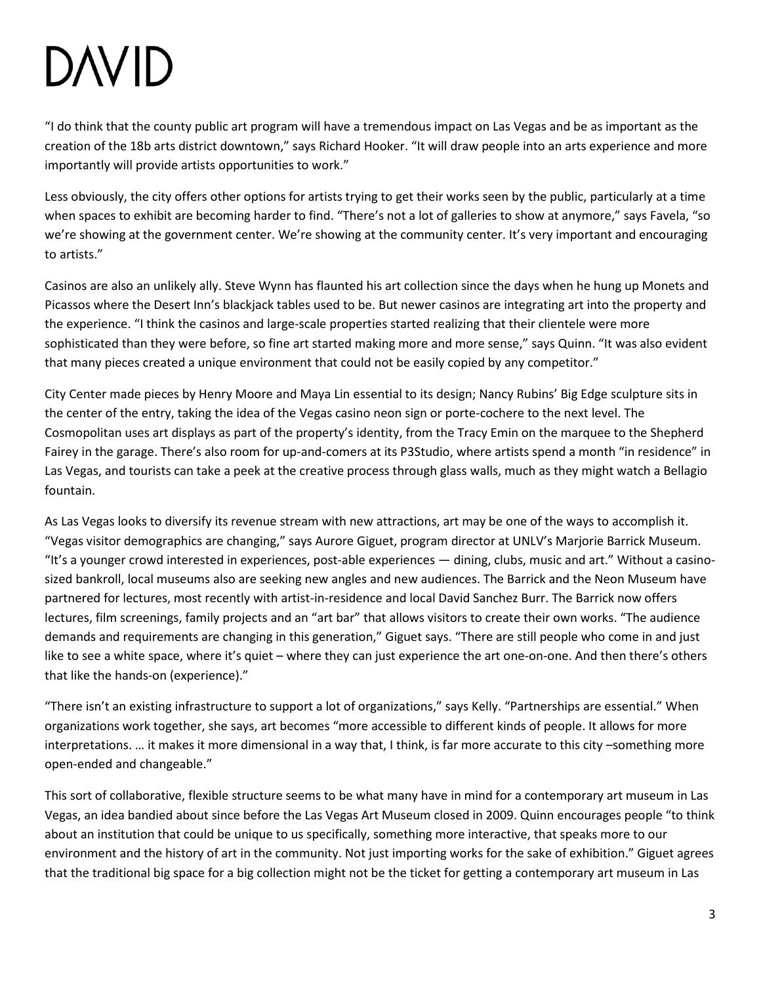## **DAVID**

"I do think that the county public art program will have a tremendous impact on Las Vegas and be as important as the creation of the 18b arts district downtown," says Richard Hooker. "It will draw people into an arts experience and more importantly will provide artists opportunities to work."

Less obviously, the city offers other options for artists trying to get their works seen by the public, particularly at a time when spaces to exhibit are becoming harder to find. "There's not a lot of galleries to show at anymore," says Favela, "so we're showing at the government center. We're showing at the community center. It's very important and encouraging to artists."

Casinos are also an unlikely ally. Steve Wynn has flaunted his art collection since the days when he hung up Monets and Picassos where the Desert Inn's blackjack tables used to be. But newer casinos are integrating art into the property and the experience. "I think the casinos and large-scale properties started realizing that their clientele were more sophisticated than they were before, so fine art started making more and more sense," says Quinn. "It was also evident that many pieces created a unique environment that could not be easily copied by any competitor."

City Center made pieces by Henry Moore and Maya Lin essential to its design; Nancy Rubins' Big Edge sculpture sits in the center of the entry, taking the idea of the Vegas casino neon sign or porte-cochere to the next level. The Cosmopolitan uses art displays as part of the property's identity, from the Tracy Emin on the marquee to the Shepherd Fairey in the garage. There's also room for up-and-comers at its P3Studio, where artists spend a month "in residence" in Las Vegas, and tourists can take a peek at the creative process through glass walls, much as they might watch a Bellagio fountain.

As Las Vegas looks to diversify its revenue stream with new attractions, art may be one of the ways to accomplish it. "Vegas visitor demographics are changing," says Aurore Giguet, program director at UNLV's Marjorie Barrick Museum. "It's a younger crowd interested in experiences, post-able experiences — dining, clubs, music and art." Without a casinosized bankroll, local museums also are seeking new angles and new audiences. The Barrick and the Neon Museum have partnered for lectures, most recently with artist-in-residence and local David Sanchez Burr. The Barrick now offers lectures, film screenings, family projects and an "art bar" that allows visitors to create their own works. "The audience demands and requirements are changing in this generation," Giguet says. "There are still people who come in and just like to see a white space, where it's quiet – where they can just experience the art one-on-one. And then there's others that like the hands-on (experience)."

"There isn't an existing infrastructure to support a lot of organizations," says Kelly. "Partnerships are essential." When organizations work together, she says, art becomes "more accessible to different kinds of people. It allows for more interpretations. … it makes it more dimensional in a way that, I think, is far more accurate to this city –something more open-ended and changeable."

This sort of collaborative, flexible structure seems to be what many have in mind for a contemporary art museum in Las Vegas, an idea bandied about since before the Las Vegas Art Museum closed in 2009. Quinn encourages people "to think about an institution that could be unique to us specifically, something more interactive, that speaks more to our environment and the history of art in the community. Not just importing works for the sake of exhibition." Giguet agrees that the traditional big space for a big collection might not be the ticket for getting a contemporary art museum in Las